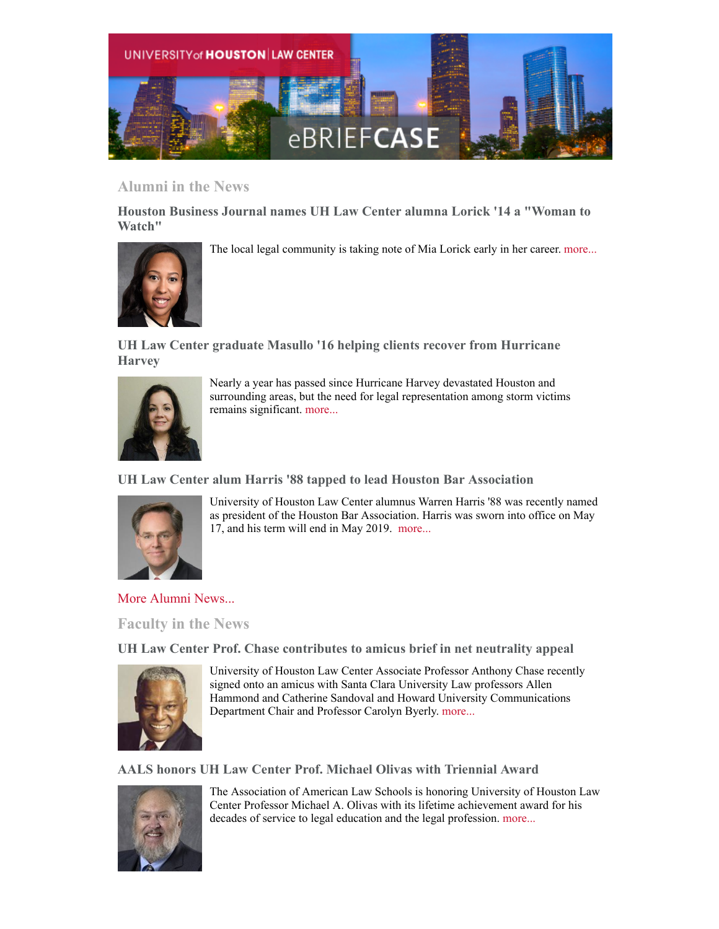

# **Alumni in the News**

**Houston Business Journal names UH Law Center alumna Lorick '14 a "Woman to Watch"**





**UH Law Center graduate Masullo '16 helping clients recover from Hurricane Harvey**



Nearly a year has passed since Hurricane Harvey devastated Houston and surrounding areas, but the need for legal representation among storm victims remains significant. [more...](http://www.law.uh.edu/news/summer2018/0814Masullo.asp)

### **UH Law Center alum Harris '88 tapped to lead Houston Bar Association**



University of Houston Law Center alumnus Warren Harris '88 was recently named as president of the Houston Bar Association. Harris was sworn into office on May 17, and his term will end in May 2019. [more...](http://www.law.uh.edu/news/summer2018/0716Harris.asp)

[More Alumni News...](http://www.law.uh.edu/alumni/alumni-in-the-news.asp)

**Faculty in the News**

**UH Law Center Prof. Chase contributes to amicus brief in net neutrality appeal**



University of Houston Law Center Associate Professor Anthony Chase recently signed onto an amicus with Santa Clara University Law professors Allen Hammond and Catherine Sandoval and Howard University Communications Department Chair and Professor Carolyn Byerly. [more...](http://www.law.uh.edu/news/fall2018/0920Chase.asp)

## **AALS honors UH Law Center Prof. Michael Olivas with Triennial Award**



The Association of American Law Schools is honoring University of Houston Law Center Professor Michael A. Olivas with its lifetime achievement award for his decades of service to legal education and the legal profession. [more...](http://www.law.uh.edu/news/fall2018/0907Olivas.asp)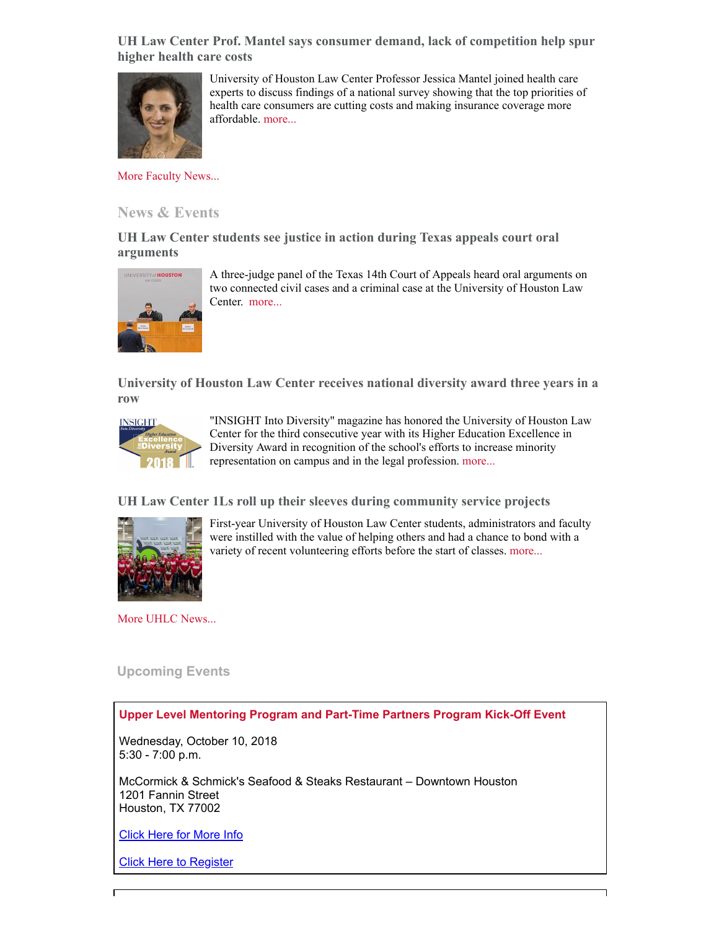**UH Law Center Prof. Mantel says consumer demand, lack of competition help spur higher health care costs**



University of Houston Law Center Professor Jessica Mantel joined health care experts to discuss findings of a national survey showing that the top priorities of health care consumers are cutting costs and making insurance coverage more affordable. [more...](http://www.law.uh.edu/news/fall2018/0917Mantel.asp)

[More Faculty News...](http://www.law.uh.edu/news/uhlc-in-the-news.asp)

### **News & Events**

**UH Law Center students see justice in action during Texas appeals court oral arguments**



A three-judge panel of the Texas 14th Court of Appeals heard oral arguments on two connected civil cases and a criminal case at the University of Houston Law Center. [more...](http://www.law.uh.edu/news/fall2018/092714thCourt.asp)

**University of Houston Law Center receives national diversity award three years in a row**



"INSIGHT Into Diversity" magazine has honored the University of Houston Law Center for the third consecutive year with its Higher Education Excellence in Diversity Award in recognition of the school's efforts to increase minority representation on campus and in the legal profession. [more...](http://www.law.uh.edu/news/fall2018/0913HEED.asp)

**UH Law Center 1Ls roll up their sleeves during community service projects**



First-year University of Houston Law Center students, administrators and faculty were instilled with the value of helping others and had a chance to bond with a variety of recent volunteering efforts before the start of classes. [more...](http://www.law.uh.edu/news/fall2018/0827Community.asp)

[More UHLC News...](http://www.law.uh.edu/news/homepage.asp)

### **Upcoming Events**

### **Upper Level Mentoring Program and Part-Time Partners Program Kick-Off Event**

Wednesday, October 10, 2018 5:30 - 7:00 p.m.

McCormick & Schmick's Seafood & Steaks Restaurant – Downtown Houston 1201 Fannin Street Houston, TX 77002

[Click Here for More Info](http://www.law.uh.edu/mentor/)

[Click Here to Register](http://www.law.uh.edu/mentor/)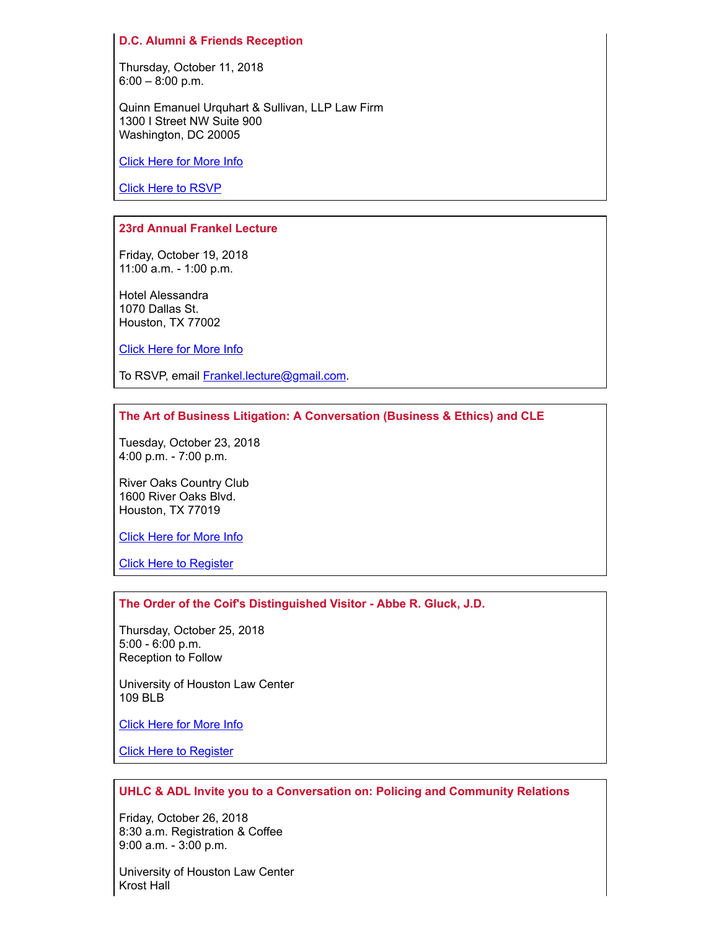#### **D.C. Alumni & Friends Reception**

Thursday, October 11, 2018 6:00 – 8:00 p.m.

Quinn Emanuel Urquhart & Sullivan, LLP Law Firm 1300 I Street NW Suite 900 Washington, DC 20005

[Click Here for More Info](http://www.law.uh.edu/alumni/calendar/2018-1011.asp)

[Click Here to RSVP](http://www.law.uh.edu/alumni/rsvp/)

#### **23rd Annual Frankel Lecture**

Friday, October 19, 2018 11:00 a.m. - 1:00 p.m.

Hotel Alessandra 1070 Dallas St. Houston, TX 77002

[Click Here for More Info](http://www.law.uh.edu/news/fall2018/1019Frankel.asp)

To RSVP, email [Frankel.lecture@gmail.com.](mailto:Frankel.lecture@gmail.com)

#### **The Art of Business Litigation: A Conversation (Business & Ethics) and CLE**

Tuesday, October 23, 2018 4:00 p.m. - 7:00 p.m.

River Oaks Country Club 1600 River Oaks Blvd. Houston, TX 77019

[Click Here for More Info](https://www.law.uh.edu/cle/2018-1023/homepage.asp)

[Click Here to Register](https://www.law.uh.edu/cle/2018-1023/)

#### **The Order of the Coif's Distinguished Visitor - Abbe R. Gluck, J.D.**

Thursday, October 25, 2018 5:00 - 6:00 p.m. Reception to Follow

University of Houston Law Center 109 BLB

[Click Here for More Info](http://law.uh.edu/news/fall2018/1025Gluck.asp)

[Click Here to Register](https://uhlc.wufoo.com/forms/z1rqqao91vwqvqe/)

#### **UHLC & ADL Invite you to a Conversation on: Policing and Community Relations**

Friday, October 26, 2018 8:30 a.m. Registration & Coffee 9:00 a.m. - 3:00 p.m.

University of Houston Law Center Krost Hall